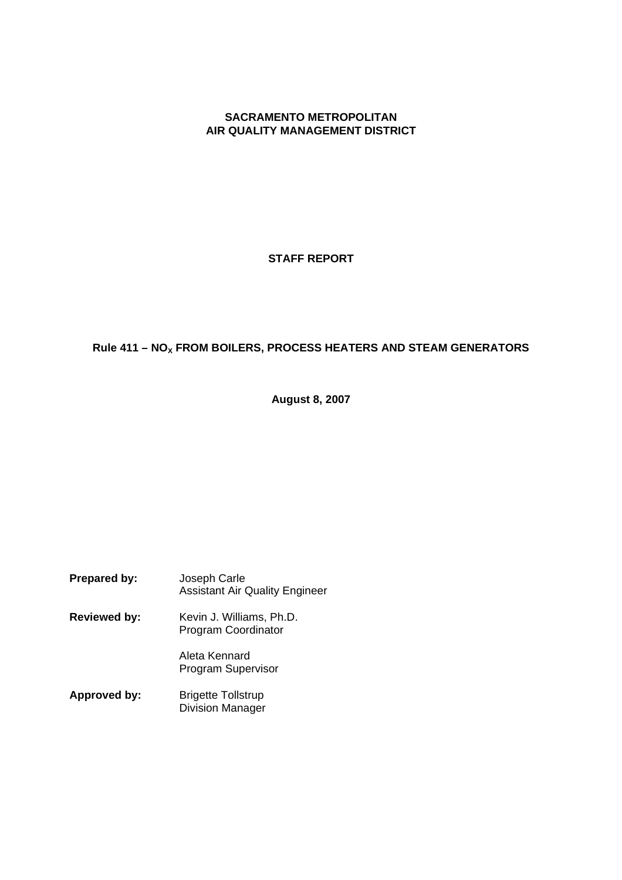# **SACRAMENTO METROPOLITAN AIR QUALITY MANAGEMENT DISTRICT**

# **STAFF REPORT**

# **Rule 411 – NO<sup>X</sup> FROM BOILERS, PROCESS HEATERS AND STEAM GENERATORS**

**August 8, 2007**

| <b>Prepared by:</b> | Joseph Carle<br><b>Assistant Air Quality Engineer</b> |
|---------------------|-------------------------------------------------------|
| <b>Reviewed by:</b> | Kevin J. Williams, Ph.D.<br>Program Coordinator       |
|                     | Aleta Kennard<br><b>Program Supervisor</b>            |
| Approved by:        | <b>Brigette Tollstrup</b><br><b>Division Manager</b>  |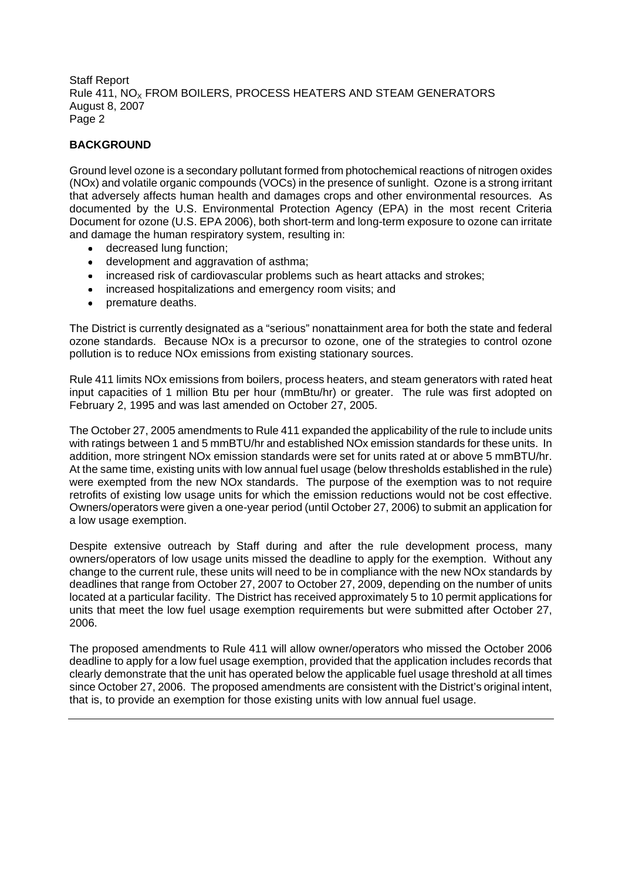# **BACKGROUND**

Ground level ozone is a secondary pollutant formed from photochemical reactions of nitrogen oxides (NOx) and volatile organic compounds (VOCs) in the presence of sunlight. Ozone is a strong irritant that adversely affects human health and damages crops and other environmental resources. As documented by the U.S. Environmental Protection Agency (EPA) in the most recent Criteria Document for ozone (U.S. EPA 2006), both short-term and long-term exposure to ozone can irritate and damage the human respiratory system, resulting in:

- decreased lung function;  $\bullet$
- development and aggravation of asthma;
- increased risk of cardiovascular problems such as heart attacks and strokes;
- increased hospitalizations and emergency room visits; and
- premature deaths.

The District is currently designated as a "serious" nonattainment area for both the state and federal ozone standards. Because NOx is a precursor to ozone, one of the strategies to control ozone pollution is to reduce NOx emissions from existing stationary sources.

Rule 411 limits NOx emissions from boilers, process heaters, and steam generators with rated heat input capacities of 1 million Btu per hour (mmBtu/hr) or greater. The rule was first adopted on February 2, 1995 and was last amended on October 27, 2005.

The October 27, 2005 amendments to Rule 411 expanded the applicability of the rule to include units with ratings between 1 and 5 mmBTU/hr and established NOx emission standards for these units. In addition, more stringent NOx emission standards were set for units rated at or above 5 mmBTU/hr. At the same time, existing units with low annual fuel usage (below thresholds established in the rule) were exempted from the new NOx standards. The purpose of the exemption was to not require retrofits of existing low usage units for which the emission reductions would not be cost effective. Owners/operators were given a one-year period (until October 27, 2006) to submit an application for a low usage exemption.

Despite extensive outreach by Staff during and after the rule development process, many owners/operators of low usage units missed the deadline to apply for the exemption. Without any change to the current rule, these units will need to be in compliance with the new NOx standards by deadlines that range from October 27, 2007 to October 27, 2009, depending on the number of units located at a particular facility. The District has received approximately 5 to 10 permit applications for units that meet the low fuel usage exemption requirements but were submitted after October 27, 2006.

The proposed amendments to Rule 411 will allow owner/operators who missed the October 2006 deadline to apply for a low fuel usage exemption, provided that the application includes records that clearly demonstrate that the unit has operated below the applicable fuel usage threshold at all times since October 27, 2006. The proposed amendments are consistent with the District's original intent, that is, to provide an exemption for those existing units with low annual fuel usage.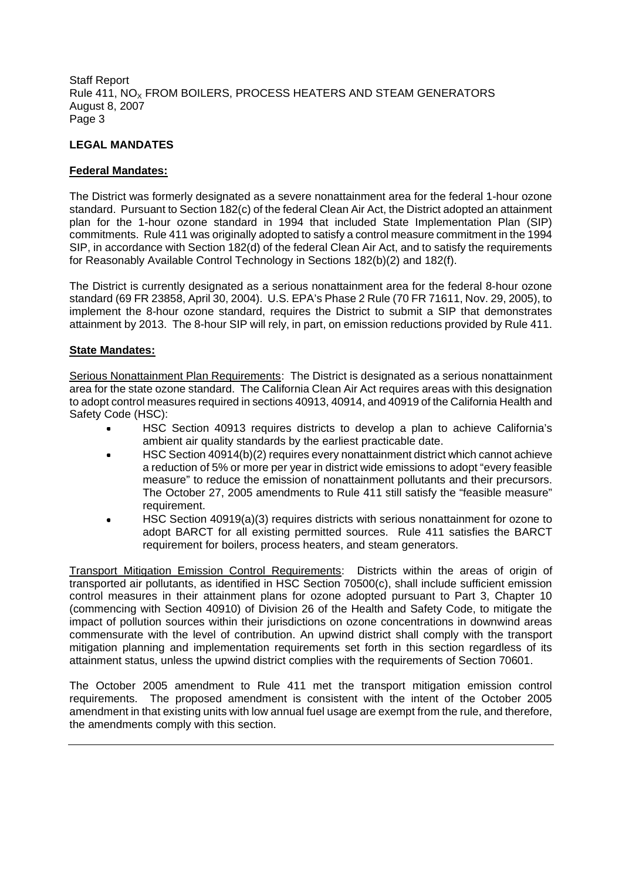# **LEGAL MANDATES**

# **Federal Mandates:**

The District was formerly designated as a severe nonattainment area for the federal 1-hour ozone standard. Pursuant to Section 182(c) of the federal Clean Air Act, the District adopted an attainment plan for the 1-hour ozone standard in 1994 that included State Implementation Plan (SIP) commitments. Rule 411 was originally adopted to satisfy a control measure commitment in the 1994 SIP, in accordance with Section 182(d) of the federal Clean Air Act, and to satisfy the requirements for Reasonably Available Control Technology in Sections 182(b)(2) and 182(f).

The District is currently designated as a serious nonattainment area for the federal 8-hour ozone standard (69 FR 23858, April 30, 2004). U.S. EPA's Phase 2 Rule (70 FR 71611, Nov. 29, 2005), to implement the 8-hour ozone standard, requires the District to submit a SIP that demonstrates attainment by 2013. The 8-hour SIP will rely, in part, on emission reductions provided by Rule 411.

# **State Mandates:**

Serious Nonattainment Plan Requirements: The District is designated as a serious nonattainment area for the state ozone standard. The California Clean Air Act requires areas with this designation to adopt control measures required in sections 40913, 40914, and 40919 of the California Health and Safety Code (HSC):

- HSC Section 40913 requires districts to develop a plan to achieve California's ambient air quality standards by the earliest practicable date.
- HSC Section 40914(b)(2) requires every nonattainment district which cannot achieve a reduction of 5% or more per year in district wide emissions to adopt "every feasible measure" to reduce the emission of nonattainment pollutants and their precursors. The October 27, 2005 amendments to Rule 411 still satisfy the "feasible measure" requirement.
- HSC Section 40919(a)(3) requires districts with serious nonattainment for ozone to adopt BARCT for all existing permitted sources. Rule 411 satisfies the BARCT requirement for boilers, process heaters, and steam generators.

Transport Mitigation Emission Control Requirements: Districts within the areas of origin of transported air pollutants, as identified in HSC Section 70500(c), shall include sufficient emission control measures in their attainment plans for ozone adopted pursuant to Part 3, Chapter 10 (commencing with Section 40910) of Division 26 of the Health and Safety Code, to mitigate the impact of pollution sources within their jurisdictions on ozone concentrations in downwind areas commensurate with the level of contribution. An upwind district shall comply with the transport mitigation planning and implementation requirements set forth in this section regardless of its attainment status, unless the upwind district complies with the requirements of Section 70601.

The October 2005 amendment to Rule 411 met the transport mitigation emission control requirements. The proposed amendment is consistent with the intent of the October 2005 amendment in that existing units with low annual fuel usage are exempt from the rule, and therefore, the amendments comply with this section.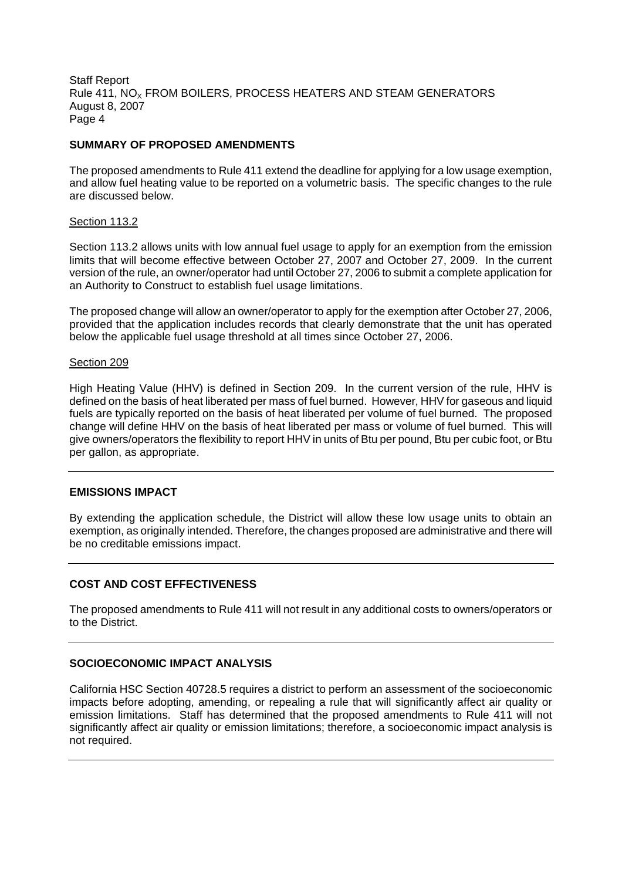# **SUMMARY OF PROPOSED AMENDMENTS**

The proposed amendments to Rule 411 extend the deadline for applying for a low usage exemption, and allow fuel heating value to be reported on a volumetric basis. The specific changes to the rule are discussed below.

# Section 113.2

Section 113.2 allows units with low annual fuel usage to apply for an exemption from the emission limits that will become effective between October 27, 2007 and October 27, 2009. In the current version of the rule, an owner/operator had until October 27, 2006 to submit a complete application for an Authority to Construct to establish fuel usage limitations.

The proposed change will allow an owner/operator to apply for the exemption after October 27, 2006, provided that the application includes records that clearly demonstrate that the unit has operated below the applicable fuel usage threshold at all times since October 27, 2006.

#### Section 209

High Heating Value (HHV) is defined in Section 209. In the current version of the rule, HHV is defined on the basis of heat liberated per mass of fuel burned. However, HHV for gaseous and liquid fuels are typically reported on the basis of heat liberated per volume of fuel burned. The proposed change will define HHV on the basis of heat liberated per mass or volume of fuel burned. This will give owners/operators the flexibility to report HHV in units of Btu per pound, Btu per cubic foot, or Btu per gallon, as appropriate.

### **EMISSIONS IMPACT**

By extending the application schedule, the District will allow these low usage units to obtain an exemption, as originally intended. Therefore, the changes proposed are administrative and there will be no creditable emissions impact.

# **COST AND COST EFFECTIVENESS**

The proposed amendments to Rule 411 will not result in any additional costs to owners/operators or to the District.

#### **SOCIOECONOMIC IMPACT ANALYSIS**

California HSC Section 40728.5 requires a district to perform an assessment of the socioeconomic impacts before adopting, amending, or repealing a rule that will significantly affect air quality or emission limitations. Staff has determined that the proposed amendments to Rule 411 will not significantly affect air quality or emission limitations; therefore, a socioeconomic impact analysis is not required.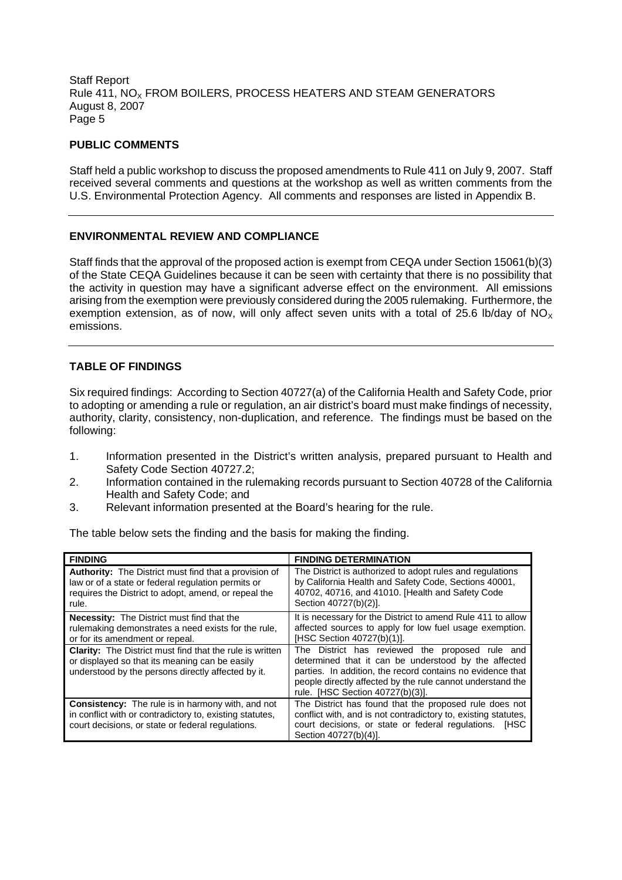# **PUBLIC COMMENTS**

Staff held a public workshop to discuss the proposed amendments to Rule 411 on July 9, 2007. Staff received several comments and questions at the workshop as well as written comments from the U.S. Environmental Protection Agency. All comments and responses are listed in Appendix B.

# **ENVIRONMENTAL REVIEW AND COMPLIANCE**

Staff finds that the approval of the proposed action is exempt from CEQA under Section 15061(b)(3) of the State CEQA Guidelines because it can be seen with certainty that there is no possibility that the activity in question may have a significant adverse effect on the environment. All emissions arising from the exemption were previously considered during the 2005 rulemaking. Furthermore, the exemption extension, as of now, will only affect seven units with a total of 25.6 lb/day of  $NO_x$ emissions.

# **TABLE OF FINDINGS**

Six required findings: According to Section 40727(a) of the California Health and Safety Code, prior to adopting or amending a rule or regulation, an air district's board must make findings of necessity, authority, clarity, consistency, non-duplication, and reference. The findings must be based on the following:

- 1. Information presented in the District's written analysis, prepared pursuant to Health and Safety Code Section 40727.2;
- 2. Information contained in the rulemaking records pursuant to Section 40728 of the California Health and Safety Code; and
- 3. Relevant information presented at the Board's hearing for the rule.

The table below sets the finding and the basis for making the finding.

| <b>FINDING</b>                                                                                                                                                                      | <b>FINDING DETERMINATION</b>                                                                                                                                                                                                                                            |
|-------------------------------------------------------------------------------------------------------------------------------------------------------------------------------------|-------------------------------------------------------------------------------------------------------------------------------------------------------------------------------------------------------------------------------------------------------------------------|
| <b>Authority:</b> The District must find that a provision of<br>law or of a state or federal regulation permits or<br>requires the District to adopt, amend, or repeal the<br>rule. | The District is authorized to adopt rules and regulations<br>by California Health and Safety Code, Sections 40001,<br>40702, 40716, and 41010. [Health and Safety Code<br>Section 40727(b)(2)].                                                                         |
| <b>Necessity:</b> The District must find that the<br>rulemaking demonstrates a need exists for the rule,<br>or for its amendment or repeal.                                         | It is necessary for the District to amend Rule 411 to allow<br>affected sources to apply for low fuel usage exemption.<br>[HSC Section 40727(b)(1)].                                                                                                                    |
| <b>Clarity:</b> The District must find that the rule is written<br>or displayed so that its meaning can be easily<br>understood by the persons directly affected by it.             | The District has reviewed the proposed rule and<br>determined that it can be understood by the affected<br>parties. In addition, the record contains no evidence that<br>people directly affected by the rule cannot understand the<br>rule. [HSC Section 40727(b)(3)]. |
| <b>Consistency:</b> The rule is in harmony with, and not<br>in conflict with or contradictory to, existing statutes,<br>court decisions, or state or federal regulations.           | The District has found that the proposed rule does not<br>conflict with, and is not contradictory to, existing statutes,<br>court decisions, or state or federal regulations. [HSC<br>Section 40727(b)(4)].                                                             |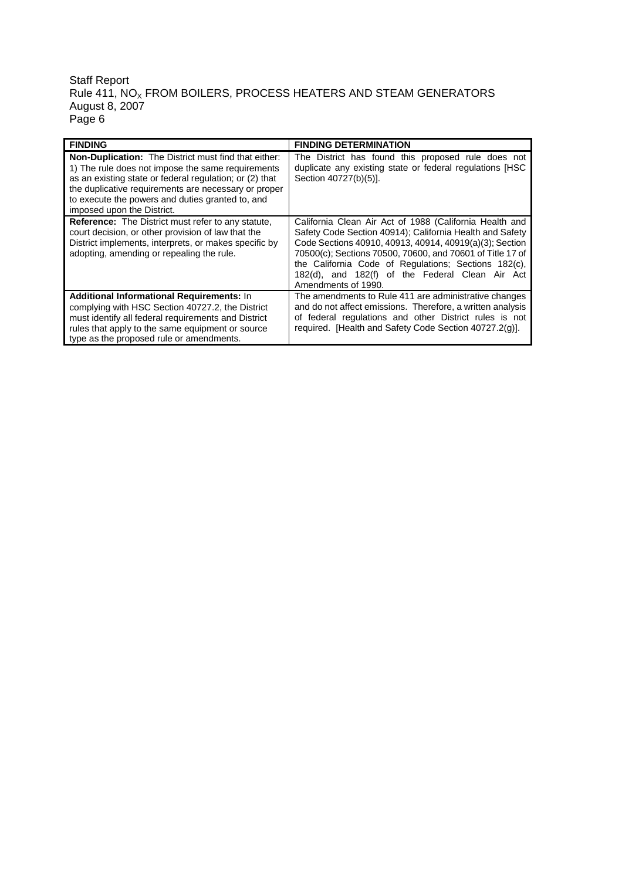### Staff Report Rule 411, NO $_{\mathrm{\mathsf{x}}}$  FROM BOILERS, PROCESS HEATERS AND STEAM GENERATORS August 8, 2007 Page 6

| <b>FINDING</b>                                                                                                                                                                                                                                                                                                        | <b>FINDING DETERMINATION</b>                                                                                                                                                                                                                                                                                                                                                  |
|-----------------------------------------------------------------------------------------------------------------------------------------------------------------------------------------------------------------------------------------------------------------------------------------------------------------------|-------------------------------------------------------------------------------------------------------------------------------------------------------------------------------------------------------------------------------------------------------------------------------------------------------------------------------------------------------------------------------|
| <b>Non-Duplication:</b> The District must find that either:<br>1) The rule does not impose the same requirements<br>as an existing state or federal regulation; or (2) that<br>the duplicative requirements are necessary or proper<br>to execute the powers and duties granted to, and<br>imposed upon the District. | The District has found this proposed rule does not<br>duplicate any existing state or federal regulations [HSC<br>Section 40727(b)(5)].                                                                                                                                                                                                                                       |
| <b>Reference:</b> The District must refer to any statute,<br>court decision, or other provision of law that the<br>District implements, interprets, or makes specific by<br>adopting, amending or repealing the rule.                                                                                                 | California Clean Air Act of 1988 (California Health and<br>Safety Code Section 40914); California Health and Safety<br>Code Sections 40910, 40913, 40914, 40919(a)(3); Section<br>70500(c); Sections 70500, 70600, and 70601 of Title 17 of<br>the California Code of Regulations; Sections 182(c),<br>182(d), and 182(f) of the Federal Clean Air Act<br>Amendments of 1990. |
| <b>Additional Informational Requirements: In</b><br>complying with HSC Section 40727.2, the District<br>must identify all federal requirements and District<br>rules that apply to the same equipment or source<br>type as the proposed rule or amendments.                                                           | The amendments to Rule 411 are administrative changes<br>and do not affect emissions. Therefore, a written analysis<br>of federal regulations and other District rules is not<br>required. [Health and Safety Code Section 40727.2(g)].                                                                                                                                       |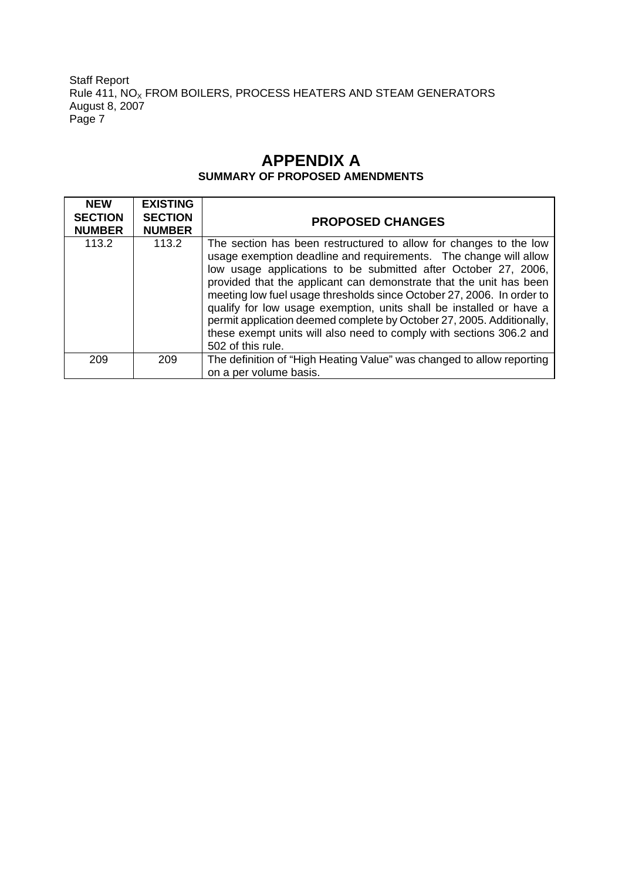Staff Report Rule 411, NO $_{\mathrm{\mathsf{x}}}$  FROM BOILERS, PROCESS HEATERS AND STEAM GENERATORS August 8, 2007 Page 7

# **APPENDIX A SUMMARY OF PROPOSED AMENDMENTS**

| <b>NEW</b><br><b>SECTION</b><br><b>NUMBER</b> | <b>EXISTING</b><br><b>SECTION</b><br><b>NUMBER</b> | <b>PROPOSED CHANGES</b>                                                                                                                                                                                                                                                                                                                                                                                                                                                                                                                                                                            |
|-----------------------------------------------|----------------------------------------------------|----------------------------------------------------------------------------------------------------------------------------------------------------------------------------------------------------------------------------------------------------------------------------------------------------------------------------------------------------------------------------------------------------------------------------------------------------------------------------------------------------------------------------------------------------------------------------------------------------|
| 113.2                                         | 113.2                                              | The section has been restructured to allow for changes to the low<br>usage exemption deadline and requirements. The change will allow<br>low usage applications to be submitted after October 27, 2006,<br>provided that the applicant can demonstrate that the unit has been<br>meeting low fuel usage thresholds since October 27, 2006. In order to<br>qualify for low usage exemption, units shall be installed or have a<br>permit application deemed complete by October 27, 2005. Additionally,<br>these exempt units will also need to comply with sections 306.2 and<br>502 of this rule. |
| 209                                           | 209                                                | The definition of "High Heating Value" was changed to allow reporting<br>on a per volume basis.                                                                                                                                                                                                                                                                                                                                                                                                                                                                                                    |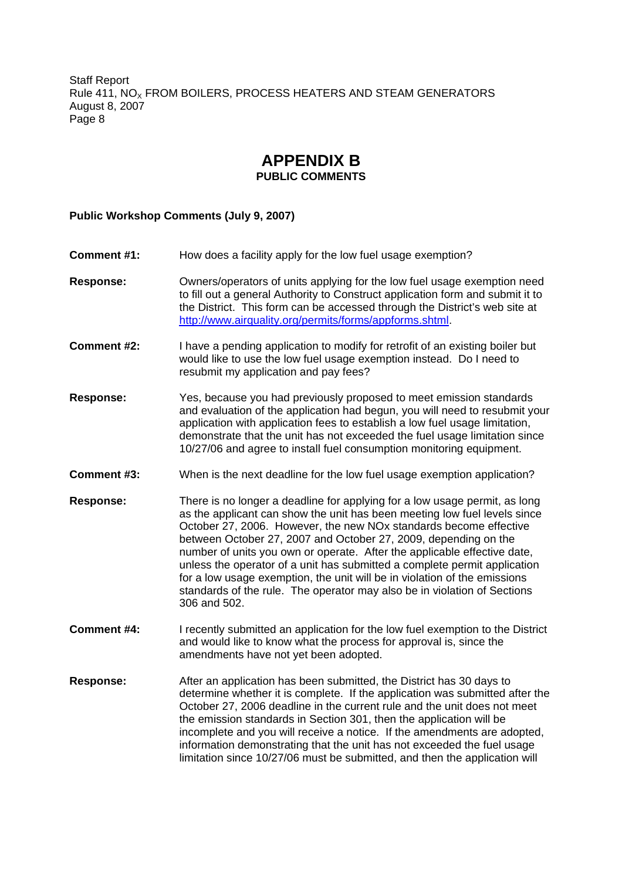# **APPENDIX B PUBLIC COMMENTS**

#### **Public Workshop Comments (July 9, 2007)**

- **Comment #1:** How does a facility apply for the low fuel usage exemption?
- **Response:** Owners/operators of units applying for the low fuel usage exemption need to fill out a general Authority to Construct application form and submit it to the District. This form can be accessed through the District's web site at http://www.airquality.org/permits/forms/appforms.shtml.
- **Comment #2:** I have a pending application to modify for retrofit of an existing boiler but would like to use the low fuel usage exemption instead. Do I need to resubmit my application and pay fees?
- **Response:** Yes, because you had previously proposed to meet emission standards and evaluation of the application had begun, you will need to resubmit your application with application fees to establish a low fuel usage limitation, demonstrate that the unit has not exceeded the fuel usage limitation since 10/27/06 and agree to install fuel consumption monitoring equipment.
- **Comment #3:** When is the next deadline for the low fuel usage exemption application?
- **Response:** There is no longer a deadline for applying for a low usage permit, as long as the applicant can show the unit has been meeting low fuel levels since October 27, 2006. However, the new NOx standards become effective between October 27, 2007 and October 27, 2009, depending on the number of units you own or operate. After the applicable effective date, unless the operator of a unit has submitted a complete permit application for a low usage exemption, the unit will be in violation of the emissions standards of the rule. The operator may also be in violation of Sections 306 and 502.
- **Comment #4:** I recently submitted an application for the low fuel exemption to the District and would like to know what the process for approval is, since the amendments have not yet been adopted.
- **Response:** After an application has been submitted, the District has 30 days to determine whether it is complete. If the application was submitted after the October 27, 2006 deadline in the current rule and the unit does not meet the emission standards in Section 301, then the application will be incomplete and you will receive a notice. If the amendments are adopted, information demonstrating that the unit has not exceeded the fuel usage limitation since 10/27/06 must be submitted, and then the application will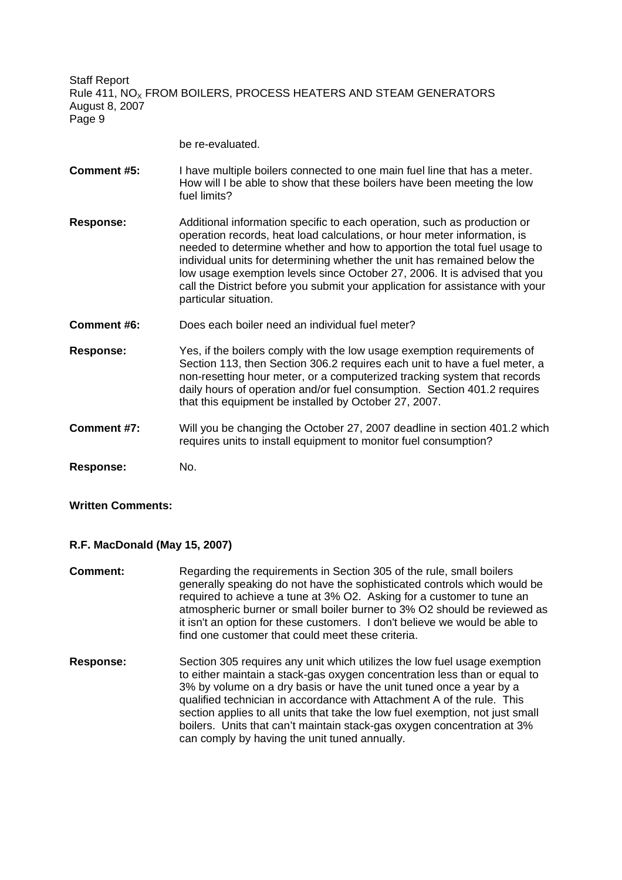be re-evaluated.

- **Comment #5:** I have multiple boilers connected to one main fuel line that has a meter. How will I be able to show that these boilers have been meeting the low fuel limits?
- **Response:** Additional information specific to each operation, such as production or operation records, heat load calculations, or hour meter information, is needed to determine whether and how to apportion the total fuel usage to individual units for determining whether the unit has remained below the low usage exemption levels since October 27, 2006. It is advised that you call the District before you submit your application for assistance with your particular situation.
- **Comment #6:** Does each boiler need an individual fuel meter?
- **Response:** Yes, if the boilers comply with the low usage exemption requirements of Section 113, then Section 306.2 requires each unit to have a fuel meter, a non-resetting hour meter, or a computerized tracking system that records daily hours of operation and/or fuel consumption. Section 401.2 requires that this equipment be installed by October 27, 2007.
- **Comment #7:** Will you be changing the October 27, 2007 deadline in section 401.2 which requires units to install equipment to monitor fuel consumption?

**Response:** No.

# **Written Comments:**

### **R.F. MacDonald (May 15, 2007)**

- **Comment:** Regarding the requirements in Section 305 of the rule, small boilers generally speaking do not have the sophisticated controls which would be required to achieve a tune at 3% O2. Asking for a customer to tune an atmospheric burner or small boiler burner to 3% O2 should be reviewed as it isn't an option for these customers. I don't believe we would be able to find one customer that could meet these criteria.
- **Response:** Section 305 requires any unit which utilizes the low fuel usage exemption to either maintain a stack-gas oxygen concentration less than or equal to 3% by volume on a dry basis or have the unit tuned once a year by a qualified technician in accordance with Attachment A of the rule. This section applies to all units that take the low fuel exemption, not just small boilers. Units that can't maintain stack-gas oxygen concentration at 3% can comply by having the unit tuned annually.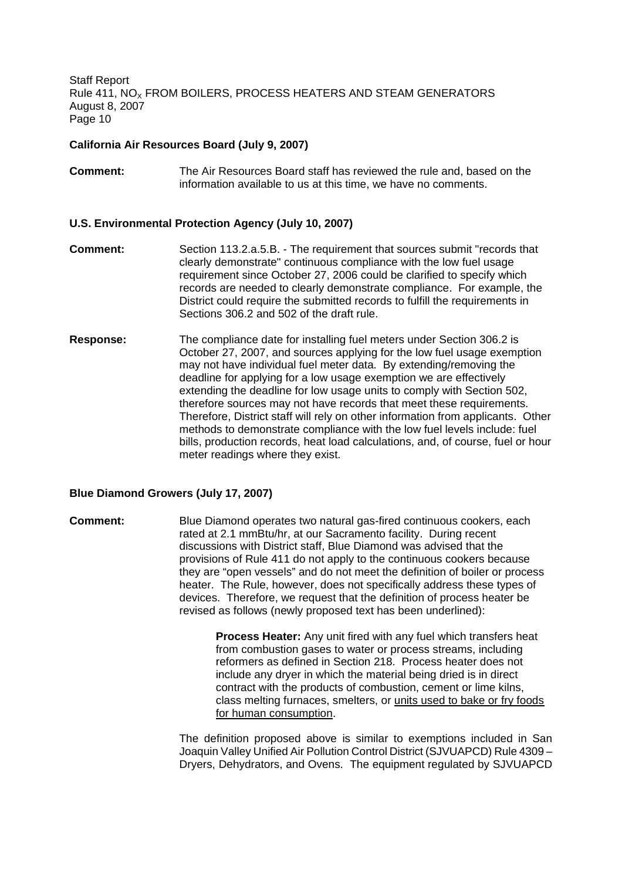#### **California Air Resources Board (July 9, 2007)**

**Comment:** The Air Resources Board staff has reviewed the rule and, based on the information available to us at this time, we have no comments.

#### **U.S. Environmental Protection Agency (July 10, 2007)**

- **Comment:** Section 113.2.a.5.B. The requirement that sources submit "records that clearly demonstrate" continuous compliance with the low fuel usage requirement since October 27, 2006 could be clarified to specify which records are needed to clearly demonstrate compliance. For example, the District could require the submitted records to fulfill the requirements in Sections 306.2 and 502 of the draft rule.
- **Response:** The compliance date for installing fuel meters under Section 306.2 is October 27, 2007, and sources applying for the low fuel usage exemption may not have individual fuel meter data. By extending/removing the deadline for applying for a low usage exemption we are effectively extending the deadline for low usage units to comply with Section 502, therefore sources may not have records that meet these requirements. Therefore, District staff will rely on other information from applicants. Other methods to demonstrate compliance with the low fuel levels include: fuel bills, production records, heat load calculations, and, of course, fuel or hour meter readings where they exist.

#### **Blue Diamond Growers (July 17, 2007)**

**Comment:** Blue Diamond operates two natural gas-fired continuous cookers, each rated at 2.1 mmBtu/hr, at our Sacramento facility. During recent discussions with District staff, Blue Diamond was advised that the provisions of Rule 411 do not apply to the continuous cookers because they are "open vessels" and do not meet the definition of boiler or process heater. The Rule, however, does not specifically address these types of devices. Therefore, we request that the definition of process heater be revised as follows (newly proposed text has been underlined):

> **Process Heater:** Any unit fired with any fuel which transfers heat from combustion gases to water or process streams, including reformers as defined in Section 218. Process heater does not include any dryer in which the material being dried is in direct contract with the products of combustion, cement or lime kilns, class melting furnaces, smelters, or units used to bake or fry foods for human consumption.

The definition proposed above is similar to exemptions included in San Joaquin Valley Unified Air Pollution Control District (SJVUAPCD) Rule 4309 – Dryers, Dehydrators, and Ovens. The equipment regulated by SJVUAPCD